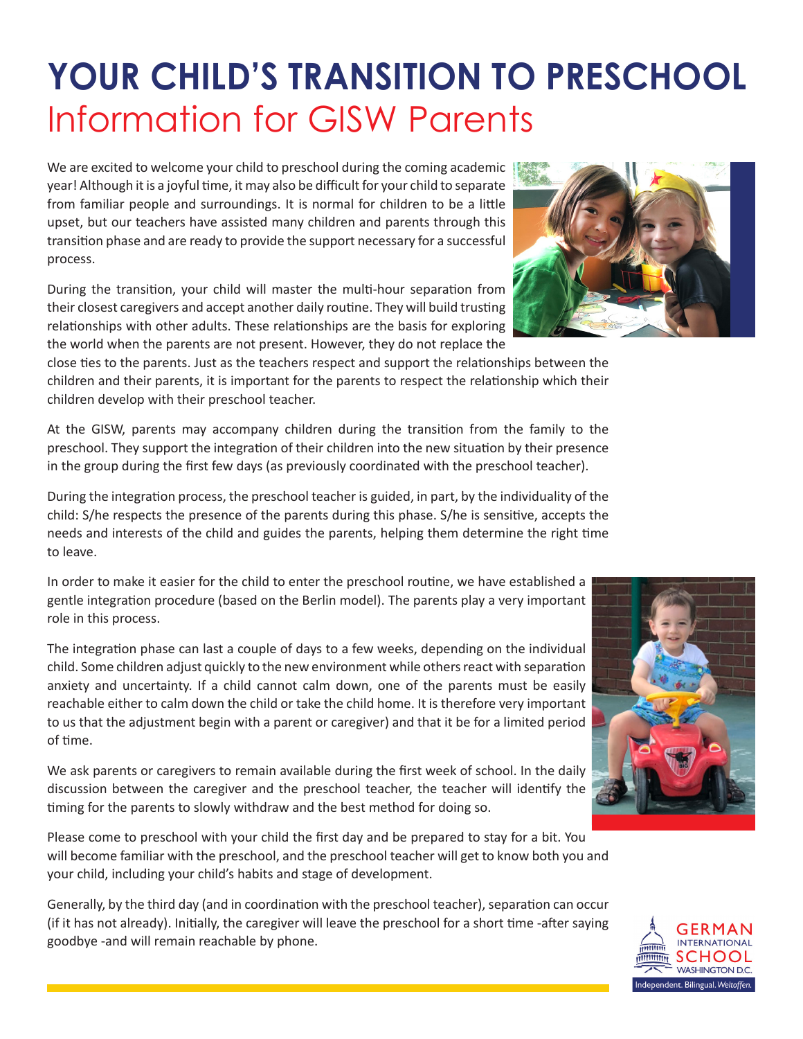## **YOUR CHILD'S TRANSITION TO PRESCHOOL** Information for GISW Parents

We are excited to welcome your child to preschool during the coming academic year! Although it is a joyful time, it may also be difficult for your child to separate from familiar people and surroundings. It is normal for children to be a little upset, but our teachers have assisted many children and parents through this transition phase and are ready to provide the support necessary for a successful process.

During the transition, your child will master the multi-hour separation from their closest caregivers and accept another daily routine. They will build trusting relationships with other adults. These relationships are the basis for exploring the world when the parents are not present. However, they do not replace the

close ties to the parents. Just as the teachers respect and support the relationships between the children and their parents, it is important for the parents to respect the relationship which their children develop with their preschool teacher.

At the GISW, parents may accompany children during the transition from the family to the preschool. They support the integration of their children into the new situation by their presence in the group during the first few days (as previously coordinated with the preschool teacher).

During the integration process, the preschool teacher is guided, in part, by the individuality of the child: S/he respects the presence of the parents during this phase. S/he is sensitive, accepts the needs and interests of the child and guides the parents, helping them determine the right time to leave.

In order to make it easier for the child to enter the preschool routine, we have established a gentle integration procedure (based on the Berlin model). The parents play a very important role in this process.

The integration phase can last a couple of days to a few weeks, depending on the individual child. Some children adjust quickly to the new environment while others react with separation anxiety and uncertainty. If a child cannot calm down, one of the parents must be easily reachable either to calm down the child or take the child home. It is therefore very important to us that the adjustment begin with a parent or caregiver) and that it be for a limited period of time.

We ask parents or caregivers to remain available during the first week of school. In the daily discussion between the caregiver and the preschool teacher, the teacher will identify the timing for the parents to slowly withdraw and the best method for doing so.

Please come to preschool with your child the first day and be prepared to stay for a bit. You will become familiar with the preschool, and the preschool teacher will get to know both you and your child, including your child's habits and stage of development.

Generally, by the third day (and in coordination with the preschool teacher), separation can occur (if it has not already). Initially, the caregiver will leave the preschool for a short time -after saying goodbye -and will remain reachable by phone.